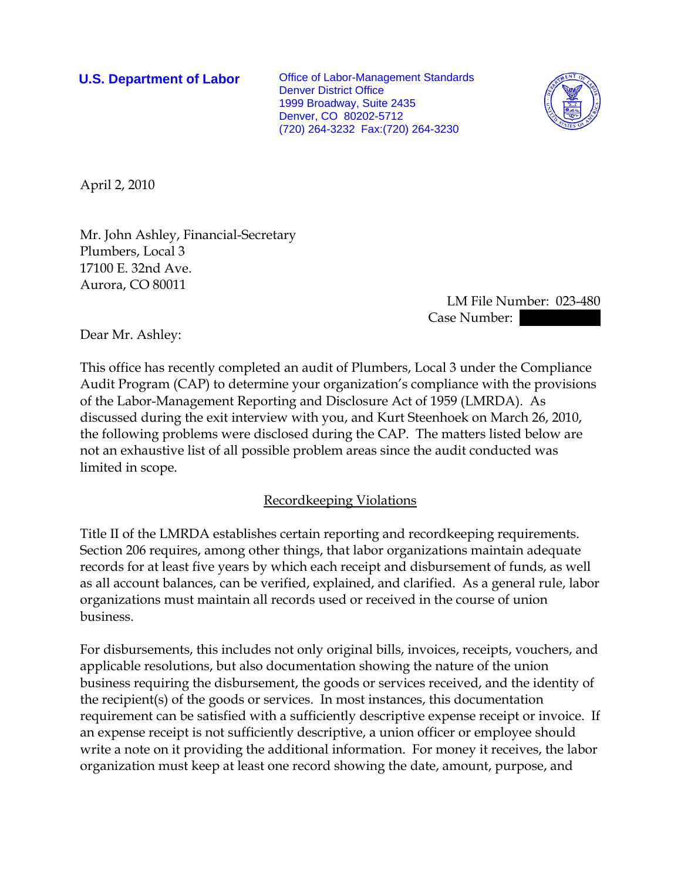**U.S. Department of Labor** Office of Labor-Management Standards Denver District Office 1999 Broadway, Suite 2435 Denver, CO 80202-5712 (720) 264-3232 Fax:(720) 264-3230



April 2, 2010

Mr. John Ashley, Financial-Secretary Plumbers, Local 3 17100 E. 32nd Ave. Aurora, CO 80011

> LM File Number: 023-480 Case Number:

Dear Mr. Ashley:

This office has recently completed an audit of Plumbers, Local 3 under the Compliance Audit Program (CAP) to determine your organization's compliance with the provisions of the Labor-Management Reporting and Disclosure Act of 1959 (LMRDA). As discussed during the exit interview with you, and Kurt Steenhoek on March 26, 2010, the following problems were disclosed during the CAP. The matters listed below are not an exhaustive list of all possible problem areas since the audit conducted was limited in scope.

### Recordkeeping Violations

Title II of the LMRDA establishes certain reporting and recordkeeping requirements. Section 206 requires, among other things, that labor organizations maintain adequate records for at least five years by which each receipt and disbursement of funds, as well as all account balances, can be verified, explained, and clarified. As a general rule, labor organizations must maintain all records used or received in the course of union business.

For disbursements, this includes not only original bills, invoices, receipts, vouchers, and applicable resolutions, but also documentation showing the nature of the union business requiring the disbursement, the goods or services received, and the identity of the recipient(s) of the goods or services. In most instances, this documentation requirement can be satisfied with a sufficiently descriptive expense receipt or invoice. If an expense receipt is not sufficiently descriptive, a union officer or employee should write a note on it providing the additional information. For money it receives, the labor organization must keep at least one record showing the date, amount, purpose, and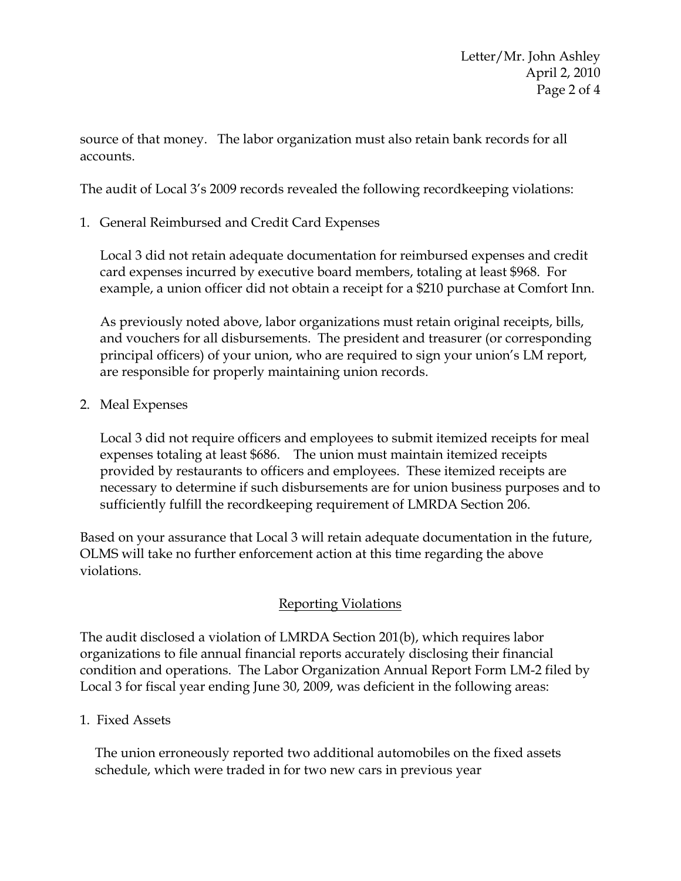source of that money. The labor organization must also retain bank records for all accounts.

The audit of Local 3's 2009 records revealed the following recordkeeping violations:

1. General Reimbursed and Credit Card Expenses

Local 3 did not retain adequate documentation for reimbursed expenses and credit card expenses incurred by executive board members, totaling at least \$968. For example, a union officer did not obtain a receipt for a \$210 purchase at Comfort Inn.

As previously noted above, labor organizations must retain original receipts, bills, and vouchers for all disbursements. The president and treasurer (or corresponding principal officers) of your union, who are required to sign your union's LM report, are responsible for properly maintaining union records.

2. Meal Expenses

Local 3 did not require officers and employees to submit itemized receipts for meal expenses totaling at least \$686. The union must maintain itemized receipts provided by restaurants to officers and employees. These itemized receipts are necessary to determine if such disbursements are for union business purposes and to sufficiently fulfill the recordkeeping requirement of LMRDA Section 206.

Based on your assurance that Local 3 will retain adequate documentation in the future, OLMS will take no further enforcement action at this time regarding the above violations.

# Reporting Violations

The audit disclosed a violation of LMRDA Section 201(b), which requires labor organizations to file annual financial reports accurately disclosing their financial condition and operations. The Labor Organization Annual Report Form LM-2 filed by Local 3 for fiscal year ending June 30, 2009, was deficient in the following areas:

# 1. Fixed Assets

The union erroneously reported two additional automobiles on the fixed assets schedule, which were traded in for two new cars in previous year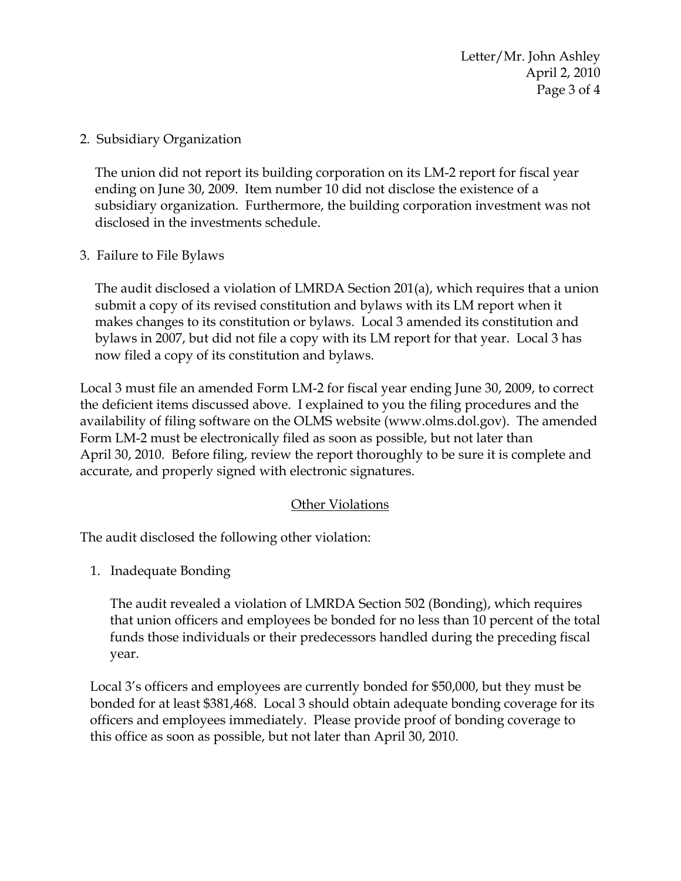Letter/Mr. John Ashley April 2, 2010 Page 3 of 4

2. Subsidiary Organization

The union did not report its building corporation on its LM-2 report for fiscal year ending on June 30, 2009. Item number 10 did not disclose the existence of a subsidiary organization. Furthermore, the building corporation investment was not disclosed in the investments schedule.

3. Failure to File Bylaws

The audit disclosed a violation of LMRDA Section 201(a), which requires that a union submit a copy of its revised constitution and bylaws with its LM report when it makes changes to its constitution or bylaws. Local 3 amended its constitution and bylaws in 2007, but did not file a copy with its LM report for that year. Local 3 has now filed a copy of its constitution and bylaws.

Local 3 must file an amended Form LM-2 for fiscal year ending June 30, 2009, to correct the deficient items discussed above. I explained to you the filing procedures and the availability of filing software on the OLMS website (www.olms.dol.gov). The amended Form LM-2 must be electronically filed as soon as possible, but not later than April 30, 2010. Before filing, review the report thoroughly to be sure it is complete and accurate, and properly signed with electronic signatures.

#### Other Violations

The audit disclosed the following other violation:

1. Inadequate Bonding

The audit revealed a violation of LMRDA Section 502 (Bonding), which requires that union officers and employees be bonded for no less than 10 percent of the total funds those individuals or their predecessors handled during the preceding fiscal year.

Local 3's officers and employees are currently bonded for \$50,000, but they must be bonded for at least \$381,468. Local 3 should obtain adequate bonding coverage for its officers and employees immediately. Please provide proof of bonding coverage to this office as soon as possible, but not later than April 30, 2010.